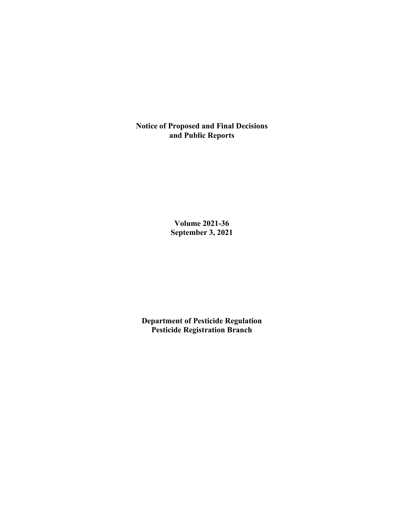**Notice of Proposed and Final Decisions and Public Reports**

> **Volume 2021-36 September 3, 2021**

**Department of Pesticide Regulation Pesticide Registration Branch**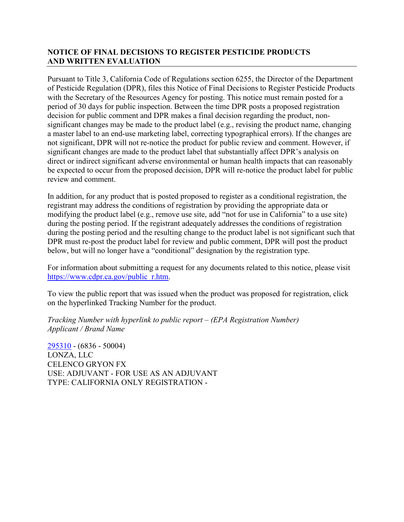## **NOTICE OF FINAL DECISIONS TO REGISTER PESTICIDE PRODUCTS AND WRITTEN EVALUATION**

Pursuant to Title 3, California Code of Regulations section 6255, the Director of the Department of Pesticide Regulation (DPR), files this Notice of Final Decisions to Register Pesticide Products with the Secretary of the Resources Agency for posting. This notice must remain posted for a period of 30 days for public inspection. Between the time DPR posts a proposed registration decision for public comment and DPR makes a final decision regarding the product, nonsignificant changes may be made to the product label (e.g., revising the product name, changing a master label to an end-use marketing label, correcting typographical errors). If the changes are not significant, DPR will not re-notice the product for public review and comment. However, if significant changes are made to the product label that substantially affect DPR's analysis on direct or indirect significant adverse environmental or human health impacts that can reasonably be expected to occur from the proposed decision, DPR will re-notice the product label for public review and comment.

In addition, for any product that is posted proposed to register as a conditional registration, the registrant may address the conditions of registration by providing the appropriate data or modifying the product label (e.g., remove use site, add "not for use in California" to a use site) during the posting period. If the registrant adequately addresses the conditions of registration during the posting period and the resulting change to the product label is not significant such that DPR must re-post the product label for review and public comment, DPR will post the product below, but will no longer have a "conditional" designation by the registration type.

For information about submitting a request for any documents related to this notice, please visit [https://www.cdpr.ca.gov/public\\_r.htm.](https://www.cdpr.ca.gov/public_r.htm)

To view the public report that was issued when the product was proposed for registration, click on the hyperlinked Tracking Number for the product.

*Tracking Number with hyperlink to public report – (EPA Registration Number) Applicant / Brand Name*

[295310](https://www.cdpr.ca.gov/docs/registration/nod/public_reports/295310.pdf) - (6836 - 50004) LONZA, LLC CELENCO GRYON FX USE: ADJUVANT - FOR USE AS AN ADJUVANT TYPE: CALIFORNIA ONLY REGISTRATION -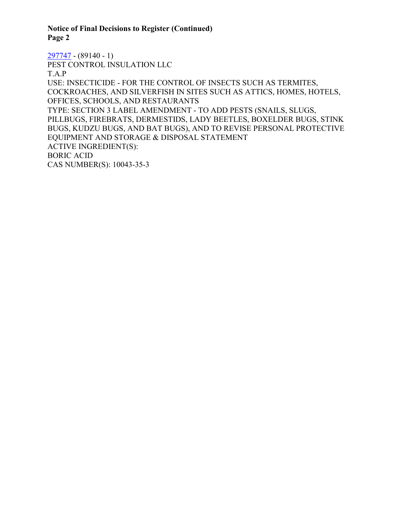**Notice of Final Decisions to Register (Continued) Page 2**

[297747](https://www.cdpr.ca.gov/docs/registration/nod/public_reports/297747.pdf) - (89140 - 1) PEST CONTROL INSULATION LLC T.A.P USE: INSECTICIDE - FOR THE CONTROL OF INSECTS SUCH AS TERMITES, COCKROACHES, AND SILVERFISH IN SITES SUCH AS ATTICS, HOMES, HOTELS, OFFICES, SCHOOLS, AND RESTAURANTS TYPE: SECTION 3 LABEL AMENDMENT - TO ADD PESTS (SNAILS, SLUGS, PILLBUGS, FIREBRATS, DERMESTIDS, LADY BEETLES, BOXELDER BUGS, STINK BUGS, KUDZU BUGS, AND BAT BUGS), AND TO REVISE PERSONAL PROTECTIVE EQUIPMENT AND STORAGE & DISPOSAL STATEMENT ACTIVE INGREDIENT(S): BORIC ACID CAS NUMBER(S): 10043-35-3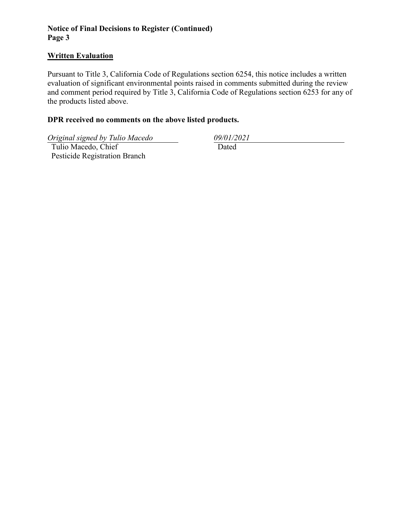## **Notice of Final Decisions to Register (Continued) Page 3**

#### **Written Evaluation**

Pursuant to Title 3, California Code of Regulations section 6254, this notice includes a written evaluation of significant environmental points raised in comments submitted during the review and comment period required by Title 3, California Code of Regulations section 6253 for any of the products listed above.

## **DPR received no comments on the above listed products.**

*Original signed by Tulio Macedo 09/01/2021*

 Tulio Macedo, Chief Pesticide Registration Branch Dated